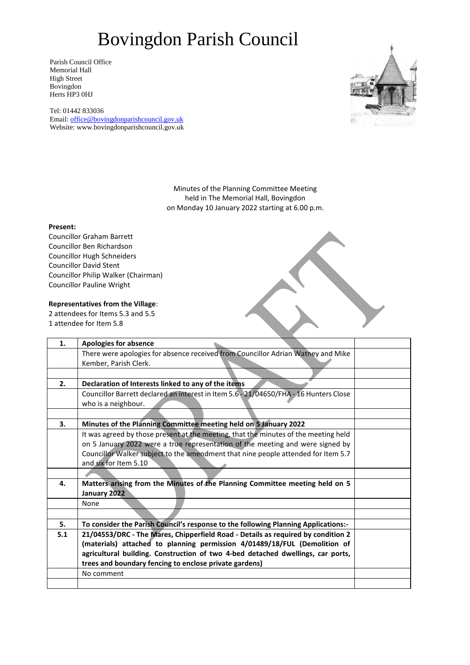Parish Council Office Memorial Hall High Street Bovingdon Herts HP3 0HJ

Tel: 01442 833036 Email: [office@bovingdonparishcouncil.gov.uk](mailto:office@bovingdonparishcouncil.gov.uk) Website: www.bovingdonparishcouncil.gov.uk



Minutes of the Planning Committee Meeting held in The Memorial Hall, Bovingdon on Monday 10 January 2022 starting at 6.00 p.m.

#### **Present:**

Councillor Graham Barrett Councillor Ben Richardson Councillor Hugh Schneiders Councillor David Stent Councillor Philip Walker (Chairman) Councillor Pauline Wright

**Representatives from the Village**: 2 attendees for Items 5.3 and 5.5

1 attendee for Item 5.8

| 1.  | <b>Apologies for absence</b>                                                          |  |
|-----|---------------------------------------------------------------------------------------|--|
|     | There were apologies for absence received from Councillor Adrian Wathey and Mike      |  |
|     | Kember, Parish Clerk.                                                                 |  |
|     |                                                                                       |  |
| 2.  | Declaration of Interests linked to any of the items                                   |  |
|     | Councillor Barrett declared an interest in Item 5.6 - 21/04650/FHA - 16 Hunters Close |  |
|     | who is a neighbour.                                                                   |  |
|     |                                                                                       |  |
| 3.  | Minutes of the Planning Committee meeting held on 5 January 2022                      |  |
|     | It was agreed by those present at the meeting, that the minutes of the meeting held   |  |
|     | on 5 January 2022 were a true representation of the meeting and were signed by        |  |
|     | Councillor Walker subject to the amendment that nine people attended for Item 5.7     |  |
|     | and six for Item 5.10                                                                 |  |
|     |                                                                                       |  |
| 4.  | Matters arising from the Minutes of the Planning Committee meeting held on 5          |  |
|     | January 2022                                                                          |  |
|     | None                                                                                  |  |
|     |                                                                                       |  |
| 5.  | To consider the Parish Council's response to the following Planning Applications:-    |  |
| 5.1 | 21/04553/DRC - The Mares, Chipperfield Road - Details as required by condition 2      |  |
|     | (materials) attached to planning permission 4/01489/18/FUL (Demolition of             |  |
|     | agricultural building. Construction of two 4-bed detached dwellings, car ports,       |  |
|     | trees and boundary fencing to enclose private gardens)                                |  |
|     | No comment                                                                            |  |
|     |                                                                                       |  |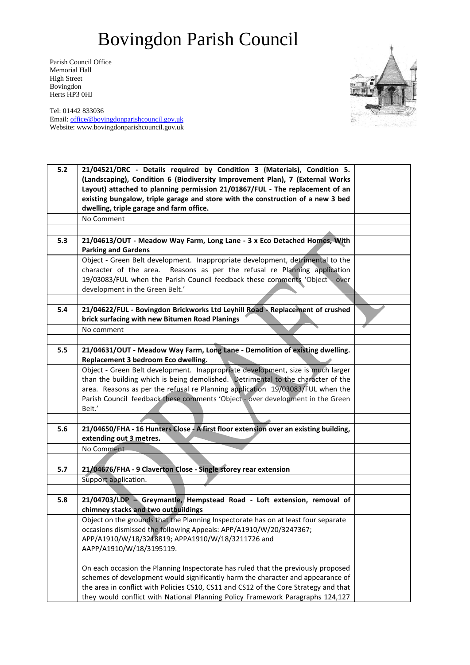Parish Council Office Memorial Hall High Street Bovingdon Herts HP3 0HJ



| $5.2$ | 21/04521/DRC - Details required by Condition 3 (Materials), Condition 5.                                                |  |
|-------|-------------------------------------------------------------------------------------------------------------------------|--|
|       | (Landscaping), Condition 6 (Biodiversity Improvement Plan), 7 (External Works                                           |  |
|       | Layout) attached to planning permission 21/01867/FUL - The replacement of an                                            |  |
|       | existing bungalow, triple garage and store with the construction of a new 3 bed                                         |  |
|       | dwelling, triple garage and farm office.                                                                                |  |
|       | No Comment                                                                                                              |  |
|       |                                                                                                                         |  |
| 5.3   | 21/04613/OUT - Meadow Way Farm, Long Lane - 3 x Eco Detached Homes, With<br><b>Parking and Gardens</b>                  |  |
|       | Object - Green Belt development. Inappropriate development, detrimental to the                                          |  |
|       | character of the area. Reasons as per the refusal re Planning application                                               |  |
|       | 19/03083/FUL when the Parish Council feedback these comments 'Object - over                                             |  |
|       | development in the Green Belt.'                                                                                         |  |
|       |                                                                                                                         |  |
| 5.4   | 21/04622/FUL - Bovingdon Brickworks Ltd Leyhill Road - Replacement of crushed                                           |  |
|       | brick surfacing with new Bitumen Road Planings                                                                          |  |
|       | No comment                                                                                                              |  |
|       |                                                                                                                         |  |
| 5.5   | 21/04631/OUT - Meadow Way Farm, Long Lane - Demolition of existing dwelling.                                            |  |
|       | Replacement 3 bedroom Eco dwelling.                                                                                     |  |
|       | Object - Green Belt development. Inappropriate development, size is much larger                                         |  |
|       | than the building which is being demolished. Detrimental to the character of the                                        |  |
|       | area. Reasons as per the refusal re Planning application 19/03083/FUL when the                                          |  |
|       | Parish Council feedback these comments 'Object - over development in the Green                                          |  |
|       | Belt.'                                                                                                                  |  |
|       |                                                                                                                         |  |
| 5.6   | 21/04650/FHA - 16 Hunters Close - A first floor extension over an existing building,                                    |  |
|       | extending out 3 metres.                                                                                                 |  |
|       | No Comment                                                                                                              |  |
|       |                                                                                                                         |  |
| 5.7   | 21/04676/FHA - 9 Claverton Close - Single storey rear extension                                                         |  |
|       | Support application.                                                                                                    |  |
|       |                                                                                                                         |  |
| 5.8   | 21/04703/LDP - Greymantle, Hempstead Road - Loft extension, removal of                                                  |  |
|       | chimney stacks and two outbuildings                                                                                     |  |
|       | Object on the grounds that the Planning Inspectorate has on at least four separate                                      |  |
|       | occasions dismissed the following Appeals: APP/A1910/W/20/3247367;<br>APP/A1910/W/18/3218819; APPA1910/W/18/3211726 and |  |
|       | AAPP/A1910/W/18/3195119.                                                                                                |  |
|       |                                                                                                                         |  |
|       | On each occasion the Planning Inspectorate has ruled that the previously proposed                                       |  |
|       | schemes of development would significantly harm the character and appearance of                                         |  |
|       | the area in conflict with Policies CS10, CS11 and CS12 of the Core Strategy and that                                    |  |
|       | they would conflict with National Planning Policy Framework Paragraphs 124,127                                          |  |
|       |                                                                                                                         |  |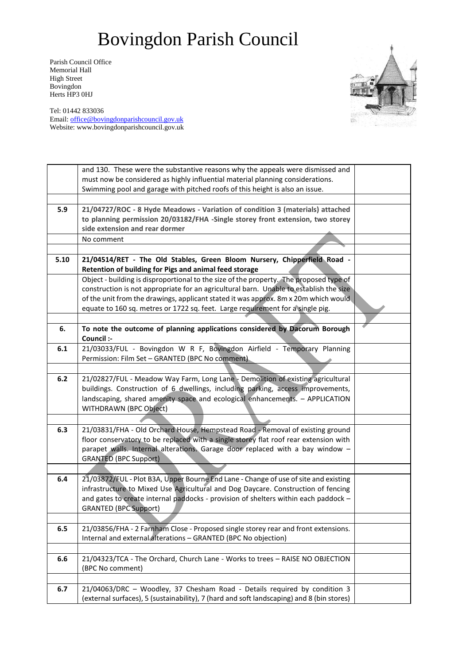Parish Council Office Memorial Hall High Street Bovingdon Herts HP3 0HJ



|      | and 130. These were the substantive reasons why the appeals were dismissed and                                                     |  |
|------|------------------------------------------------------------------------------------------------------------------------------------|--|
|      | must now be considered as highly influential material planning considerations.                                                     |  |
|      | Swimming pool and garage with pitched roofs of this height is also an issue.                                                       |  |
|      |                                                                                                                                    |  |
| 5.9  | 21/04727/ROC - 8 Hyde Meadows - Variation of condition 3 (materials) attached                                                      |  |
|      | to planning permission 20/03182/FHA -Single storey front extension, two storey                                                     |  |
|      | side extension and rear dormer                                                                                                     |  |
|      | No comment                                                                                                                         |  |
|      |                                                                                                                                    |  |
| 5.10 | 21/04514/RET - The Old Stables, Green Bloom Nursery, Chipperfield Road -<br>Retention of building for Pigs and animal feed storage |  |
|      | Object - building is disproportional to the size of the property. The proposed type of                                             |  |
|      | construction is not appropriate for an agricultural barn. Unable to establish the size                                             |  |
|      | of the unit from the drawings, applicant stated it was approx. 8m x 20m which would                                                |  |
|      | equate to 160 sq. metres or 1722 sq. feet. Large requirement for a single pig.                                                     |  |
|      |                                                                                                                                    |  |
| 6.   | To note the outcome of planning applications considered by Dacorum Borough<br>Council :-                                           |  |
| 6.1  | 21/03033/FUL - Bovingdon W R F, Bovingdon Airfield - Temporary Planning                                                            |  |
|      | Permission: Film Set - GRANTED (BPC No comment).                                                                                   |  |
|      |                                                                                                                                    |  |
| 6.2  | 21/02827/FUL - Meadow Way Farm, Long Lane - Demolition of existing agricultural                                                    |  |
|      | buildings. Construction of 6 dwellings, including parking, access improvements,                                                    |  |
|      | landscaping, shared amenity space and ecological enhancements. - APPLICATION                                                       |  |
|      | WITHDRAWN (BPC Object)                                                                                                             |  |
|      |                                                                                                                                    |  |
| 6.3  | 21/03831/FHA - Old Orchard House, Hempstead Road - Removal of existing ground                                                      |  |
|      | floor conservatory to be replaced with a single storey flat roof rear extension with                                               |  |
|      | parapet walls. Internal alterations. Garage door replaced with a bay window -                                                      |  |
|      | <b>GRANTED (BPC Support)</b>                                                                                                       |  |
|      |                                                                                                                                    |  |
| 6.4  | 21/03872/FUL - Plot B3A, Upper Bourne End Lane - Change of use of site and existing                                                |  |
|      | infrastructure to Mixed Use Agricultural and Dog Daycare. Construction of fencing                                                  |  |
|      | and gates to create internal paddocks - provision of shelters within each paddock -                                                |  |
|      | <b>GRANTED (BPC Support)</b>                                                                                                       |  |
|      |                                                                                                                                    |  |
| 6.5  | 21/03856/FHA - 2 Farnham Close - Proposed single storey rear and front extensions.                                                 |  |
|      | Internal and external alterations - GRANTED (BPC No objection)                                                                     |  |
|      |                                                                                                                                    |  |
| 6.6  | 21/04323/TCA - The Orchard, Church Lane - Works to trees - RAISE NO OBJECTION                                                      |  |
|      | (BPC No comment)                                                                                                                   |  |
|      |                                                                                                                                    |  |
| 6.7  | 21/04063/DRC - Woodley, 37 Chesham Road - Details required by condition 3                                                          |  |
|      | (external surfaces), 5 (sustainability), 7 (hard and soft landscaping) and 8 (bin stores)                                          |  |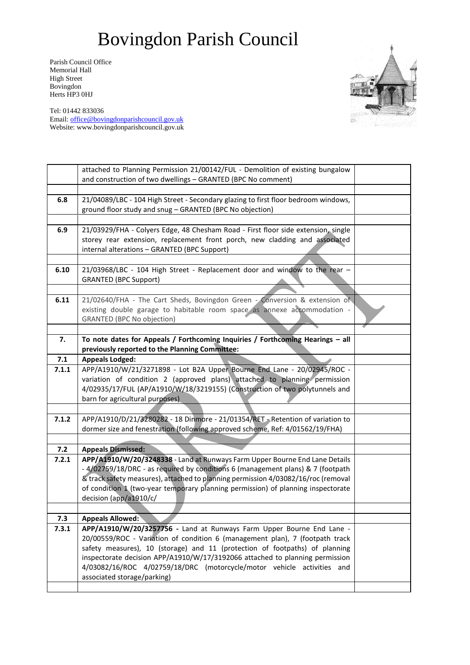Parish Council Office Memorial Hall High Street Bovingdon Herts HP3 0HJ



|       | attached to Planning Permission 21/00142/FUL - Demolition of existing bungalow<br>and construction of two dwellings - GRANTED (BPC No comment)                                                                                                                                                                                                                                                                                |  |
|-------|-------------------------------------------------------------------------------------------------------------------------------------------------------------------------------------------------------------------------------------------------------------------------------------------------------------------------------------------------------------------------------------------------------------------------------|--|
|       |                                                                                                                                                                                                                                                                                                                                                                                                                               |  |
| 6.8   | 21/04089/LBC - 104 High Street - Secondary glazing to first floor bedroom windows,<br>ground floor study and snug - GRANTED (BPC No objection)                                                                                                                                                                                                                                                                                |  |
|       |                                                                                                                                                                                                                                                                                                                                                                                                                               |  |
| 6.9   | 21/03929/FHA - Colyers Edge, 48 Chesham Road - First floor side extension, single<br>storey rear extension, replacement front porch, new cladding and associated<br>internal alterations - GRANTED (BPC Support)                                                                                                                                                                                                              |  |
|       |                                                                                                                                                                                                                                                                                                                                                                                                                               |  |
| 6.10  | 21/03968/LBC - 104 High Street - Replacement door and window to the rear -<br><b>GRANTED (BPC Support)</b>                                                                                                                                                                                                                                                                                                                    |  |
|       |                                                                                                                                                                                                                                                                                                                                                                                                                               |  |
| 6.11  | 21/02640/FHA - The Cart Sheds, Bovingdon Green - Conversion & extension of<br>existing double garage to habitable room space as annexe accommodation -<br><b>GRANTED (BPC No objection)</b>                                                                                                                                                                                                                                   |  |
|       |                                                                                                                                                                                                                                                                                                                                                                                                                               |  |
| 7.    | To note dates for Appeals / Forthcoming Inquiries / Forthcoming Hearings - all<br>previously reported to the Planning Committee:                                                                                                                                                                                                                                                                                              |  |
| 7.1   | <b>Appeals Lodged:</b>                                                                                                                                                                                                                                                                                                                                                                                                        |  |
| 7.1.1 | APP/A1910/W/21/3271898 - Lot B2A Upper Bourne End Lane - 20/02945/ROC -<br>variation of condition 2 (approved plans) attached to planning permission<br>4/02935/17/FUL (AP/A1910/W/18/3219155) (Construction of two polytunnels and<br>barn for agricultural purposes)                                                                                                                                                        |  |
|       |                                                                                                                                                                                                                                                                                                                                                                                                                               |  |
| 7.1.2 | APP/A1910/D/21/3280282 - 18 Dinmore - 21/01354/RET - Retention of variation to<br>dormer size and fenestration (following approved scheme, Ref: 4/01562/19/FHA)                                                                                                                                                                                                                                                               |  |
|       |                                                                                                                                                                                                                                                                                                                                                                                                                               |  |
| 7.2   | <b>Appeals Dismissed:</b>                                                                                                                                                                                                                                                                                                                                                                                                     |  |
| 7.2.1 | APP/A1910/W/20/3248338 - Land at Runways Farm Upper Bourne End Lane Details<br>- 4/02759/18/DRC - as required by conditions 6 (management plans) & 7 (footpath<br>& track safety measures), attached to planning permission 4/03082/16/roc (removal<br>of condition 1 (two-year temporary planning permission) of planning inspectorate<br>decision (app/a1910/c/                                                             |  |
|       |                                                                                                                                                                                                                                                                                                                                                                                                                               |  |
| 7.3   | <b>Appeals Allowed:</b>                                                                                                                                                                                                                                                                                                                                                                                                       |  |
| 7.3.1 | APP/A1910/W/20/3257756 - Land at Runways Farm Upper Bourne End Lane -<br>20/00559/ROC - Variation of condition 6 (management plan), 7 (footpath track<br>safety measures), 10 (storage) and 11 (protection of footpaths) of planning<br>inspectorate decision APP/A1910/W/17/3192066 attached to planning permission<br>4/03082/16/ROC 4/02759/18/DRC (motorcycle/motor vehicle activities and<br>associated storage/parking) |  |
|       |                                                                                                                                                                                                                                                                                                                                                                                                                               |  |